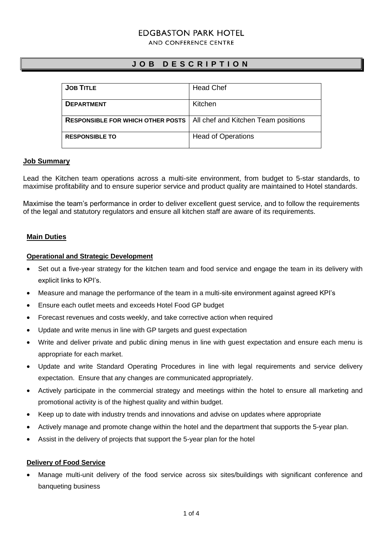# **FDGBASTON PARK HOTFL**

AND CONFERENCE CENTRE

# **J O B D E S C R I P T I O N**

| <b>JOB TITLE</b>                         | <b>Head Chef</b>                    |
|------------------------------------------|-------------------------------------|
|                                          |                                     |
|                                          |                                     |
| <b>DEPARTMENT</b>                        | Kitchen                             |
|                                          |                                     |
|                                          |                                     |
| <b>RESPONSIBLE FOR WHICH OTHER POSTS</b> | All chef and Kitchen Team positions |
|                                          |                                     |
|                                          |                                     |
| <b>RESPONSIBLE TO</b>                    | <b>Head of Operations</b>           |
|                                          |                                     |
|                                          |                                     |

### **Job Summary**

Lead the Kitchen team operations across a multi-site environment, from budget to 5-star standards, to maximise profitability and to ensure superior service and product quality are maintained to Hotel standards.

Maximise the team's performance in order to deliver excellent guest service, and to follow the requirements of the legal and statutory regulators and ensure all kitchen staff are aware of its requirements.

### **Main Duties**

### **Operational and Strategic Development**

- Set out a five-year strategy for the kitchen team and food service and engage the team in its delivery with explicit links to KPI's.
- Measure and manage the performance of the team in a multi-site environment against agreed KPI's
- Ensure each outlet meets and exceeds Hotel Food GP budget
- Forecast revenues and costs weekly, and take corrective action when required
- Update and write menus in line with GP targets and guest expectation
- Write and deliver private and public dining menus in line with guest expectation and ensure each menu is appropriate for each market.
- Update and write Standard Operating Procedures in line with legal requirements and service delivery expectation. Ensure that any changes are communicated appropriately.
- Actively participate in the commercial strategy and meetings within the hotel to ensure all marketing and promotional activity is of the highest quality and within budget.
- Keep up to date with industry trends and innovations and advise on updates where appropriate
- Actively manage and promote change within the hotel and the department that supports the 5-year plan.
- Assist in the delivery of projects that support the 5-year plan for the hotel

#### **Delivery of Food Service**

• Manage multi-unit delivery of the food service across six sites/buildings with significant conference and banqueting business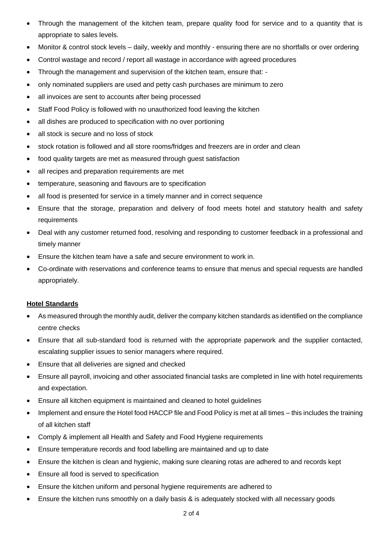- Through the management of the kitchen team, prepare quality food for service and to a quantity that is appropriate to sales levels.
- Monitor & control stock levels daily, weekly and monthly ensuring there are no shortfalls or over ordering
- Control wastage and record / report all wastage in accordance with agreed procedures
- Through the management and supervision of the kitchen team, ensure that: -
- only nominated suppliers are used and petty cash purchases are minimum to zero
- all invoices are sent to accounts after being processed
- Staff Food Policy is followed with no unauthorized food leaving the kitchen
- all dishes are produced to specification with no over portioning
- all stock is secure and no loss of stock
- stock rotation is followed and all store rooms/fridges and freezers are in order and clean
- food quality targets are met as measured through guest satisfaction
- all recipes and preparation requirements are met
- temperature, seasoning and flavours are to specification
- all food is presented for service in a timely manner and in correct sequence
- Ensure that the storage, preparation and delivery of food meets hotel and statutory health and safety requirements
- Deal with any customer returned food, resolving and responding to customer feedback in a professional and timely manner
- Ensure the kitchen team have a safe and secure environment to work in.
- Co-ordinate with reservations and conference teams to ensure that menus and special requests are handled appropriately.

# **Hotel Standards**

- As measured through the monthly audit, deliver the company kitchen standards as identified on the compliance centre checks
- Ensure that all sub-standard food is returned with the appropriate paperwork and the supplier contacted, escalating supplier issues to senior managers where required.
- Ensure that all deliveries are signed and checked
- Ensure all payroll, invoicing and other associated financial tasks are completed in line with hotel requirements and expectation.
- Ensure all kitchen equipment is maintained and cleaned to hotel guidelines
- Implement and ensure the Hotel food HACCP file and Food Policy is met at all times this includes the training of all kitchen staff
- Comply & implement all Health and Safety and Food Hygiene requirements
- Ensure temperature records and food labelling are maintained and up to date
- Ensure the kitchen is clean and hygienic, making sure cleaning rotas are adhered to and records kept
- Ensure all food is served to specification
- Ensure the kitchen uniform and personal hygiene requirements are adhered to
- Ensure the kitchen runs smoothly on a daily basis & is adequately stocked with all necessary goods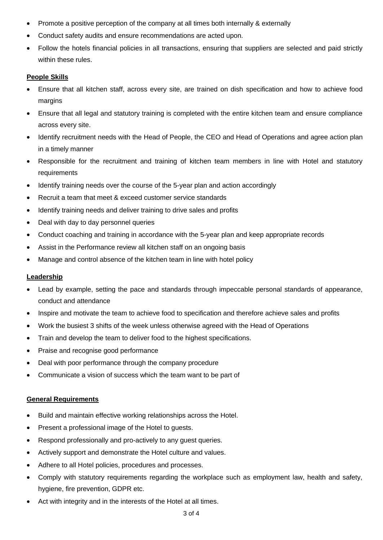- Promote a positive perception of the company at all times both internally & externally
- Conduct safety audits and ensure recommendations are acted upon.
- Follow the hotels financial policies in all transactions, ensuring that suppliers are selected and paid strictly within these rules.

# **People Skills**

- Ensure that all kitchen staff, across every site, are trained on dish specification and how to achieve food margins
- Ensure that all legal and statutory training is completed with the entire kitchen team and ensure compliance across every site.
- Identify recruitment needs with the Head of People, the CEO and Head of Operations and agree action plan in a timely manner
- Responsible for the recruitment and training of kitchen team members in line with Hotel and statutory requirements
- Identify training needs over the course of the 5-year plan and action accordingly
- Recruit a team that meet & exceed customer service standards
- Identify training needs and deliver training to drive sales and profits
- Deal with day to day personnel queries
- Conduct coaching and training in accordance with the 5-year plan and keep appropriate records
- Assist in the Performance review all kitchen staff on an ongoing basis
- Manage and control absence of the kitchen team in line with hotel policy

# **Leadership**

- Lead by example, setting the pace and standards through impeccable personal standards of appearance, conduct and attendance
- Inspire and motivate the team to achieve food to specification and therefore achieve sales and profits
- Work the busiest 3 shifts of the week unless otherwise agreed with the Head of Operations
- Train and develop the team to deliver food to the highest specifications.
- Praise and recognise good performance
- Deal with poor performance through the company procedure
- Communicate a vision of success which the team want to be part of

# **General Requirements**

- Build and maintain effective working relationships across the Hotel.
- Present a professional image of the Hotel to guests.
- Respond professionally and pro-actively to any guest queries.
- Actively support and demonstrate the Hotel culture and values.
- Adhere to all Hotel policies, procedures and processes.
- Comply with statutory requirements regarding the workplace such as employment law, health and safety, hygiene, fire prevention, GDPR etc.
- Act with integrity and in the interests of the Hotel at all times.